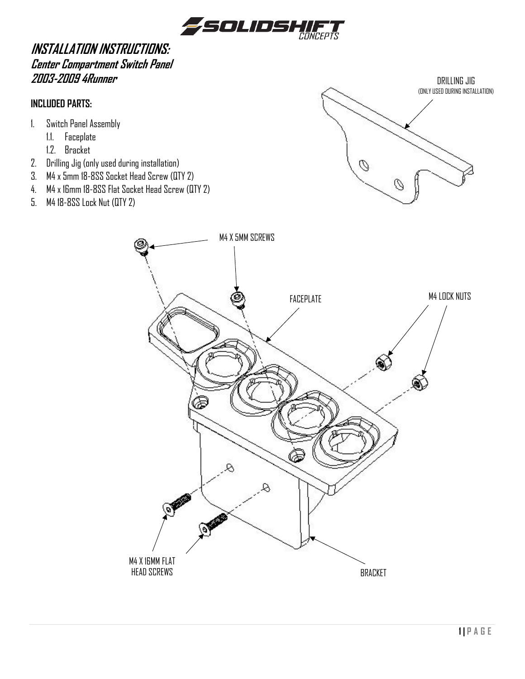

# **INSTALLATION INSTRUCTIONS: Center Compartment Switch Panel 2003-2009 4Runner**

### **INCLUDED PARTS:**

- 1. Switch Panel Assembly
	- 1.1. Faceplate
	- 1.2. Bracket
- 2. Drilling Jig (only used during installation)
- 3. M4 x 5mm 18-8SS Socket Head Screw (QTY 2)
- 4. M4 x 16mm 18-8SS Flat Socket Head Screw (QTY 2)
- 5. M4 18-8SS Lock Nut (QTY 2)



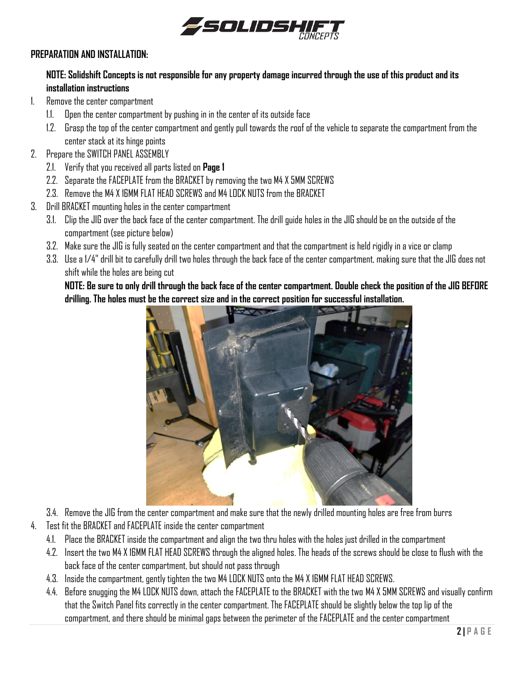

#### **PREPARATION AND INSTALLATION:**

## **NOTE: Solidshift Concepts is not responsible for any property damage incurred through the use of this product and its installation instructions**

- 1. Remove the center compartment
	- 1.1. Open the center compartment by pushing in in the center of its outside face
	- 1.2. Grasp the top of the center compartment and gently pull towards the roof of the vehicle to separate the compartment from the center stack at its hinge points
- 2. Prepare the SWITCH PANEL ASSEMBLY
	- 2.1. Verify that you received all parts listed on **Page 1**
	- 2.2. Separate the FACEPLATE from the BRACKET by removing the two M4 X 5MM SCREWS
	- 2.3. Remove the M4 X 16MM FLAT HEAD SCREWS and M4 LOCK NUTS from the BRACKET
- 3. Drill BRACKET mounting holes in the center compartment
	- 3.1. Clip the JIG over the back face of the center compartment. The drill guide holes in the JIG should be on the outside of the compartment (see picture below)
	- 3.2. Make sure the JIG is fully seated on the center compartment and that the compartment is held rigidly in a vice or clamp
	- 3.3. Use a 1/4" drill bit to carefully drill two holes through the back face of the center compartment, making sure that the JIG does not shift while the holes are being cut

**NOTE: Be sure to only drill through the back face of the center compartment. Double check the position of the JIG BEFORE drilling. The holes must be the correct size and in the correct position for successful installation.**



- 3.4. Remove the JIG from the center compartment and make sure that the newly drilled mounting holes are free from burrs
- 4. Test fit the BRACKET and FACEPLATE inside the center compartment
	- 4.1. Place the BRACKET inside the compartment and align the two thru holes with the holes just drilled in the compartment
	- 4.2. Insert the two M4 X 16MM FLAT HEAD SCREWS through the aligned holes. The heads of the screws should be close to flush with the back face of the center compartment, but should not pass through
	- 4.3. Inside the compartment, gently tighten the two M4 LOCK NUTS onto the M4 X 16MM FLAT HEAD SCREWS.
	- 4.4. Before snugging the M4 LOCK NUTS down, attach the FACEPLATE to the BRACKET with the two M4 X 5MM SCREWS and visually confirm that the Switch Panel fits correctly in the center compartment. The FACEPLATE should be slightly below the top lip of the compartment, and there should be minimal gaps between the perimeter of the FACEPLATE and the center compartment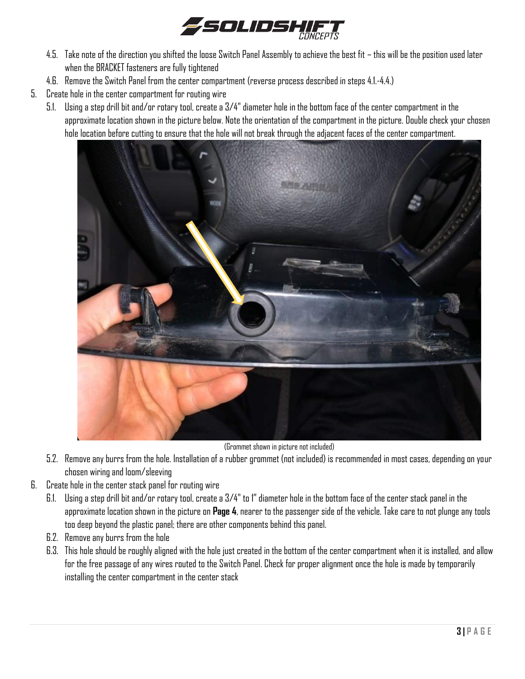

- 4.5. Take note of the direction you shifted the loose Switch Panel Assembly to achieve the best fit this will be the position used later when the BRACKET fasteners are fully tightened
- 4.6. Remove the Switch Panel from the center compartment (reverse process described in steps 4.1.-4.4.)
- 5. Create hole in the center compartment for routing wire
	- 5.1. Using a step drill bit and/or rotary tool, create a 3/4" diameter hole in the bottom face of the center compartment in the approximate location shown in the picture below. Note the orientation of the compartment in the picture. Double check your chosen hole location before cutting to ensure that the hole will not break through the adjacent faces of the center compartment.



(Grommet shown in picture not included)

- 5.2. Remove any burrs from the hole. Installation of a rubber grommet (not included) is recommended in most cases, depending on your chosen wiring and loom/sleeving
- 6. Create hole in the center stack panel for routing wire
	- 6.1. Using a step drill bit and/or rotary tool, create a 3/4" to 1" diameter hole in the bottom face of the center stack panel in the approximate location shown in the picture on **Page 4**, nearer to the passenger side of the vehicle. Take care to not plunge any tools too deep beyond the plastic panel; there are other components behind this panel.
	- 6.2. Remove any burrs from the hole
	- 6.3. This hole should be roughly aligned with the hole just created in the bottom of the center compartment when it is installed, and allow for the free passage of any wires routed to the Switch Panel. Check for proper alignment once the hole is made by temporarily installing the center compartment in the center stack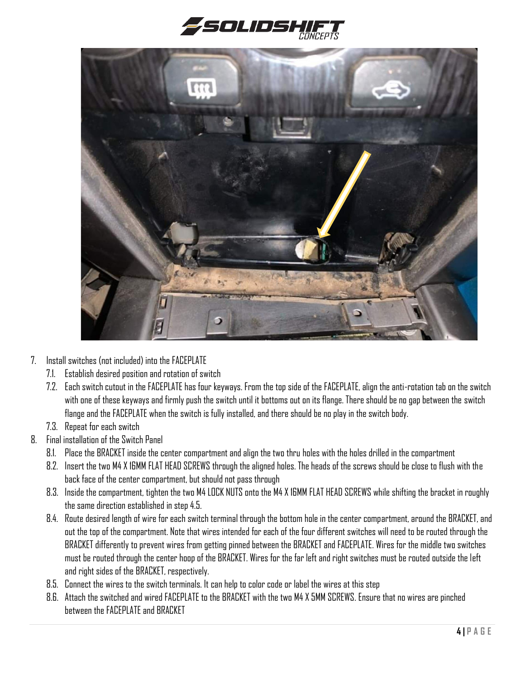



- 7. Install switches (not included) into the FACEPLATE
	- 7.1. Establish desired position and rotation of switch
	- 7.2. Each switch cutout in the FACEPLATE has four keyways. From the top side of the FACEPLATE, align the anti-rotation tab on the switch with one of these keyways and firmly push the switch until it bottoms out on its flange. There should be no gap between the switch flange and the FACEPLATE when the switch is fully installed, and there should be no play in the switch body.
	- 7.3. Repeat for each switch
- 8. Final installation of the Switch Panel
	- 8.1. Place the BRACKET inside the center compartment and align the two thru holes with the holes drilled in the compartment
	- 8.2. Insert the two M4 X 16MM FLAT HEAD SCREWS through the aligned holes. The heads of the screws should be close to flush with the back face of the center compartment, but should not pass through
	- 8.3. Inside the compartment, tighten the two M4 LOCK NUTS onto the M4 X 16MM FLAT HEAD SCREWS while shifting the bracket in roughly the same direction established in step 4.5.
	- 8.4. Route desired length of wire for each switch terminal through the bottom hole in the center compartment, around the BRACKET, and out the top of the compartment. Note that wires intended for each of the four different switches will need to be routed through the BRACKET differently to prevent wires from getting pinned between the BRACKET and FACEPLATE. Wires for the middle two switches must be routed through the center hoop of the BRACKET. Wires for the far left and right switches must be routed outside the left and right sides of the BRACKET, respectively.
	- 8.5. Connect the wires to the switch terminals. It can help to color code or label the wires at this step
	- 8.6. Attach the switched and wired FACEPLATE to the BRACKET with the two M4 X 5MM SCREWS. Ensure that no wires are pinched between the FACEPLATE and BRACKET